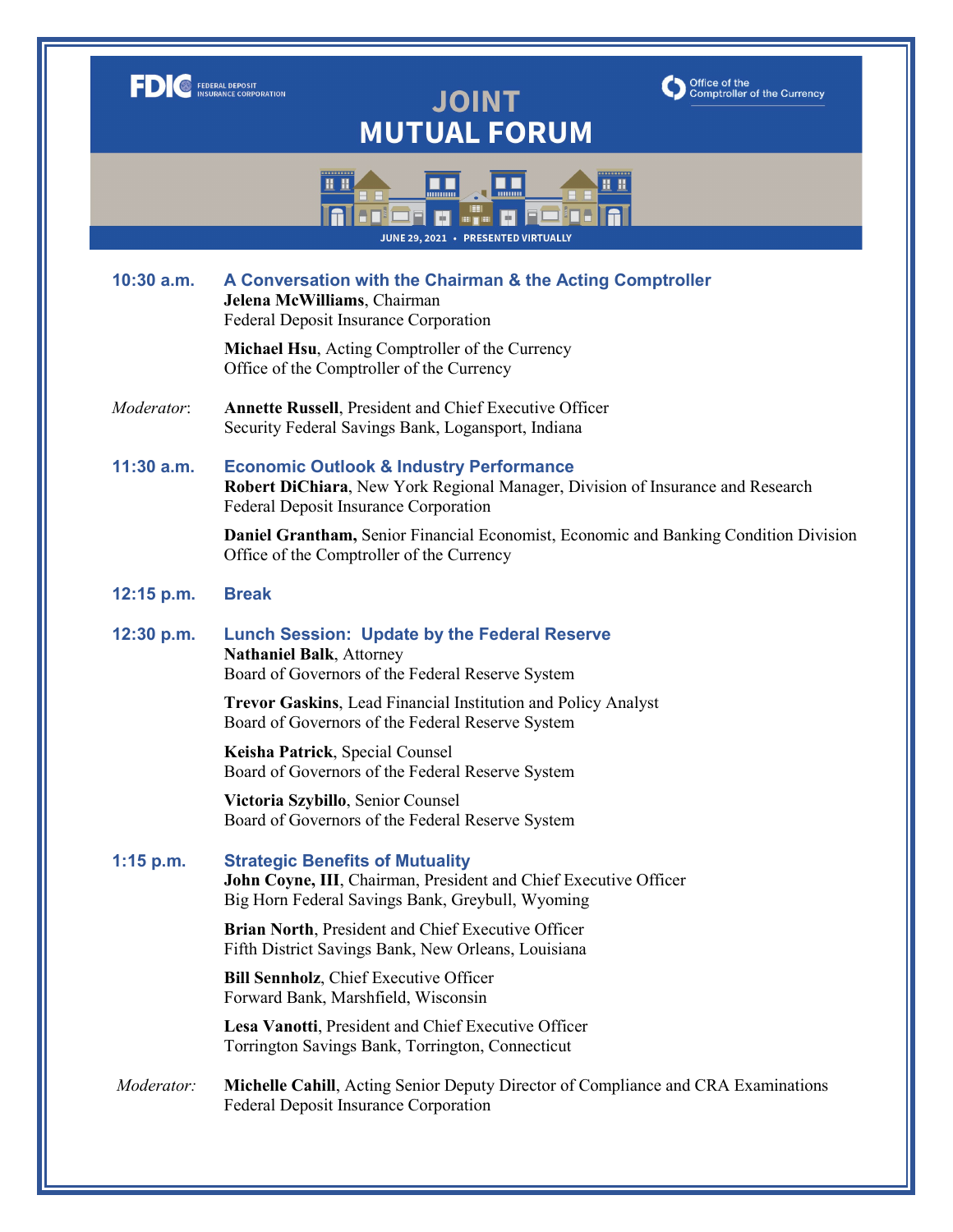|                                                                           | Office of the<br><b>FEDERAL DEPOSIT</b><br><b>Comptroller of the Currency</b><br><b>JOINT</b><br><b>MUTUAL FORUM</b>                                                          |
|---------------------------------------------------------------------------|-------------------------------------------------------------------------------------------------------------------------------------------------------------------------------|
| 88 B<br><b><i><u>IMMON</u></i></b><br>JUNE 29, 2021 · PRESENTED VIRTUALLY |                                                                                                                                                                               |
| $10:30$ a.m.                                                              | A Conversation with the Chairman & the Acting Comptroller<br>Jelena McWilliams, Chairman<br>Federal Deposit Insurance Corporation                                             |
|                                                                           | Michael Hsu, Acting Comptroller of the Currency<br>Office of the Comptroller of the Currency                                                                                  |
| Moderator:                                                                | Annette Russell, President and Chief Executive Officer<br>Security Federal Savings Bank, Logansport, Indiana                                                                  |
| 11:30 a.m.                                                                | <b>Economic Outlook &amp; Industry Performance</b><br>Robert DiChiara, New York Regional Manager, Division of Insurance and Research<br>Federal Deposit Insurance Corporation |
|                                                                           | <b>Daniel Grantham, Senior Financial Economist, Economic and Banking Condition Division</b><br>Office of the Comptroller of the Currency                                      |
| 12:15 p.m.                                                                | <b>Break</b>                                                                                                                                                                  |
| 12:30 p.m.                                                                | <b>Lunch Session: Update by the Federal Reserve</b><br><b>Nathaniel Balk</b> , Attorney<br>Board of Governors of the Federal Reserve System                                   |
|                                                                           | Trevor Gaskins, Lead Financial Institution and Policy Analyst<br>Board of Governors of the Federal Reserve System                                                             |
|                                                                           | Keisha Patrick, Special Counsel<br>Board of Governors of the Federal Reserve System                                                                                           |
|                                                                           | Victoria Szybillo, Senior Counsel<br>Board of Governors of the Federal Reserve System                                                                                         |
| $1:15$ p.m.                                                               | <b>Strategic Benefits of Mutuality</b><br>John Coyne, III, Chairman, President and Chief Executive Officer<br>Big Horn Federal Savings Bank, Greybull, Wyoming                |
|                                                                           | Brian North, President and Chief Executive Officer<br>Fifth District Savings Bank, New Orleans, Louisiana                                                                     |
|                                                                           | <b>Bill Sennholz</b> , Chief Executive Officer<br>Forward Bank, Marshfield, Wisconsin                                                                                         |
|                                                                           | Lesa Vanotti, President and Chief Executive Officer<br>Torrington Savings Bank, Torrington, Connecticut                                                                       |
| Moderator:                                                                | Michelle Cahill, Acting Senior Deputy Director of Compliance and CRA Examinations<br>Federal Deposit Insurance Corporation                                                    |